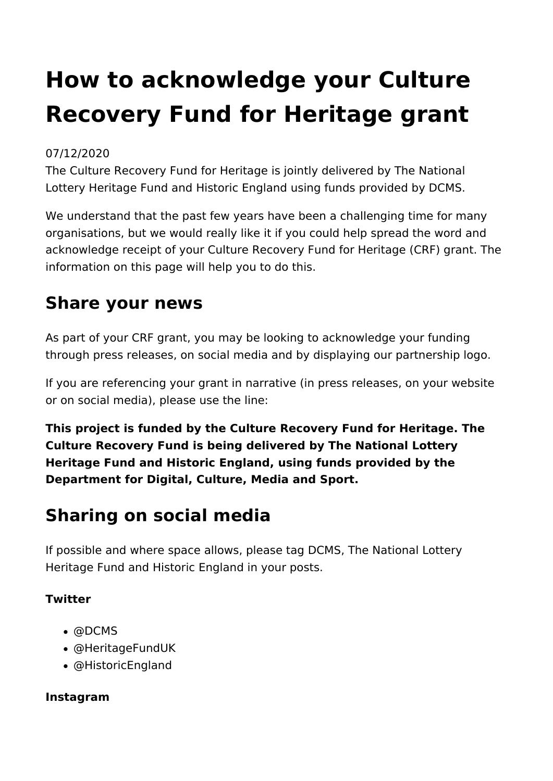# **How to acknowledge your Culture Recovery Fund for Heritage grant**

#### 07/12/2020

The Culture Recovery Fund for Heritage is jointly delivered by The National Lottery Heritage Fund and Historic England using funds provided by DCMS.

We understand that the past few years have been a challenging time for many organisations, but we would really like it if you could help spread the word and acknowledge receipt of your Culture Recovery Fund for Heritage (CRF) grant. The information on this page will help you to do this.

## **Share your news**

As part of your CRF grant, you may be looking to acknowledge your funding through press releases, on social media and by displaying our partnership logo.

If you are referencing your grant in narrative (in press releases, on your website or on social media), please use the line:

**This project is funded by the Culture Recovery Fund for Heritage. The Culture Recovery Fund is being delivered by The National Lottery Heritage Fund and Historic England, using funds provided by the Department for Digital, Culture, Media and Sport.**

# **Sharing on social media**

If possible and where space allows, please tag DCMS, The National Lottery Heritage Fund and Historic England in your posts.

#### **Twitter**

- @DCMS
- @HeritageFundUK
- @HistoricEngland

#### **Instagram**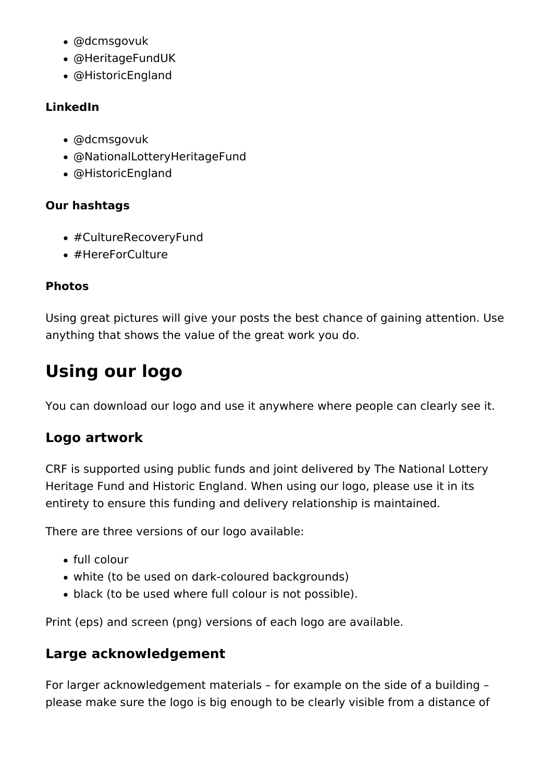- @dcmsgovuk
- @HeritageFundUK
- @HistoricEngland

#### **LinkedIn**

- @dcmsgovuk
- @NationalLotteryHeritageFund
- @HistoricEngland

#### **Our hashtags**

- #CultureRecoveryFund
- #HereForCulture

#### **Photos**

Using great pictures will give your posts the best chance of gaining attention. Use anything that shows the value of the great work you do.

# **Using our logo**

You can download our logo and use it anywhere where people can clearly see it.

### **Logo artwork**

CRF is supported using public funds and joint delivered by The National Lottery Heritage Fund and Historic England. When using our logo, please use it in its entirety to ensure this funding and delivery relationship is maintained.

There are three versions of our logo available:

- full colour
- white (to be used on dark-coloured backgrounds)
- black (to be used where full colour is not possible).

Print (eps) and screen (png) versions of each logo are available.

### **Large acknowledgement**

For larger acknowledgement materials – for example on the side of a building – please make sure the logo is big enough to be clearly visible from a distance of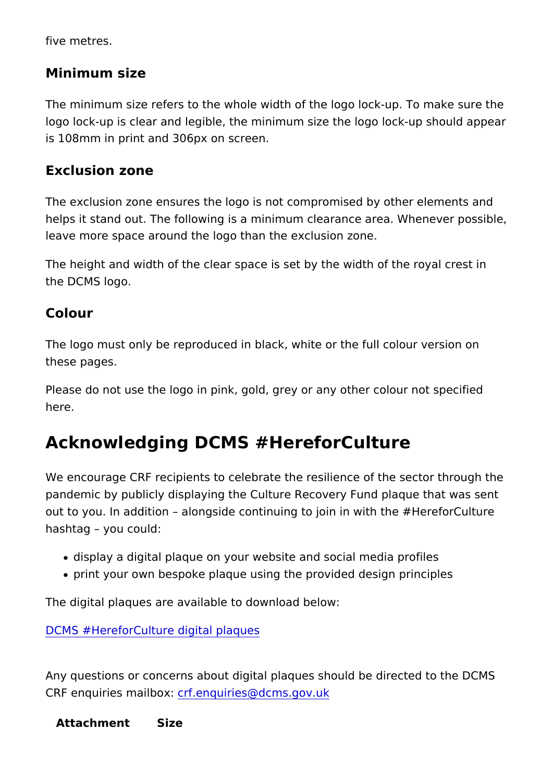five metres.

Minimum size

The minimum size refers to the whole width of the logo lock-up. logo lock-up is clear and legible, the minimum size the logo loc is 108mm in print and 306px on screen.

Exclusion zone

The exclusion zone ensures the logo is not compromised by oth helps it stand out. The following is a minimum clearance area. leave more space around the logo than the exclusion zone.

The height and width of the clear space is set by the width of t the DCMS logo.

Colour

The logo must only be reproduced in black, white or the full col these pages.

Please do not use the logo in pink, gold, grey or any other colo here.

#### Acknowledging DCMS #HereforCulture

We encourage CRF recipients to celebrate the resilience of the pandemic by publicly displaying the Culture Recovery Fund plac out to you. In addition alongside continuing to join in with the hashtag you could:

- display a digital plaque on your website and social media pr
- print your own bespoke plaque using the provided design principles

The digital plaques are available to download below:

[DCMS #HereforCulture digi](https://www.heritagefund.org.uk/sites/default/files/dcms_here-for-culture-digital-artwork_2022.zip)tal plaques

Any questions or concerns about digital plaques should be dired CRF enquiries matifibexquiries@dcms.gov.uk

Attachment Size